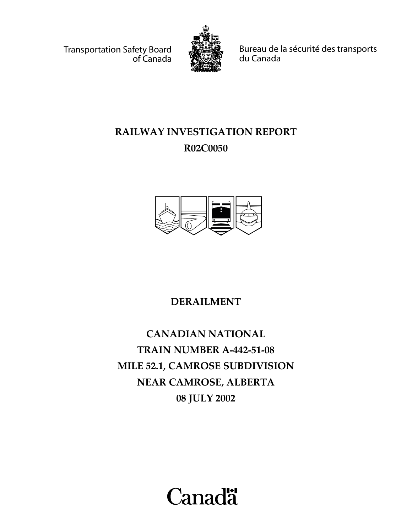Transportation Safety Board of Canada



Bureau de la sécurité des transports du Canada

# **RAILWAY INVESTIGATION REPORT R02C0050**



**DERAILMENT**

**CANADIAN NATIONAL TRAIN NUMBER A-442-51-08 MILE 52.1, CAMROSE SUBDIVISION NEAR CAMROSE, ALBERTA 08 JULY 2002**

**Canadä**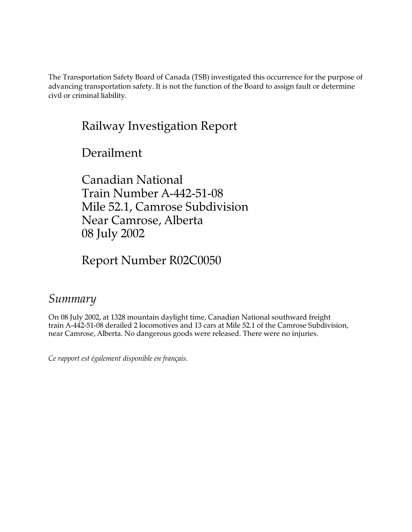The Transportation Safety Board of Canada (TSB) investigated this occurrence for the purpose of advancing transportation safety. It is not the function of the Board to assign fault or determine civil or criminal liability.

# Railway Investigation Report

Derailment

Canadian National Train Number A-442-51-08 Mile 52.1, Camrose Subdivision Near Camrose, Alberta 08 July 2002

Report Number R02C0050

# *Summary*

On 08 July 2002, at 1328 mountain daylight time, Canadian National southward freight train A-442-51-08 derailed 2 locomotives and 13 cars at Mile 52.1 of the Camrose Subdivision, near Camrose, Alberta. No dangerous goods were released. There were no injuries.

*Ce rapport est également disponible en français.*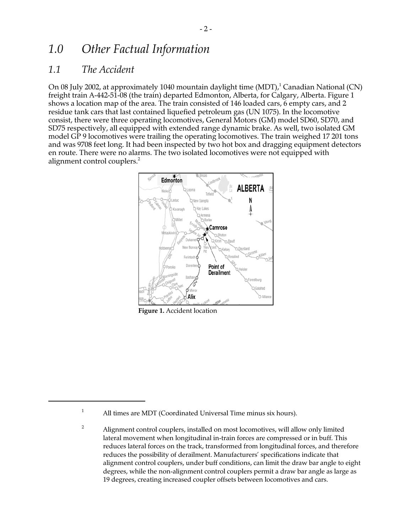## *1.0 Other Factual Information*

#### *1.1 The Accident*

On 08 July 2002, at approximately 1040 mountain daylight time (MDT), $^1$  Canadian National (CN) freight train A-442-51-08 (the train) departed Edmonton, Alberta, for Calgary, Alberta. Figure 1 shows a location map of the area. The train consisted of 146 loaded cars, 6 empty cars, and 2 residue tank cars that last contained liquefied petroleum gas (UN 1075). In the locomotive consist, there were three operating locomotives, General Motors (GM) model SD60, SD70, and SD75 respectively, all equipped with extended range dynamic brake. As well, two isolated GM model GP 9 locomotives were trailing the operating locomotives. The train weighed 17 201 tons and was 9708 feet long. It had been inspected by two hot box and dragging equipment detectors en route. There were no alarms. The two isolated locomotives were not equipped with alignment control couplers.<sup>2</sup>



**Figure 1.** Accident location

<sup>&</sup>lt;sup>1</sup> All times are MDT (Coordinated Universal Time minus six hours).

<sup>&</sup>lt;sup>2</sup> Alignment control couplers, installed on most locomotives, will allow only limited lateral movement when longitudinal in-train forces are compressed or in buff. This reduces lateral forces on the track, transformed from longitudinal forces, and therefore reduces the possibility of derailment. Manufacturers' specifications indicate that alignment control couplers, under buff conditions, can limit the draw bar angle to eight degrees, while the non-alignment control couplers permit a draw bar angle as large as 19 degrees, creating increased coupler offsets between locomotives and cars.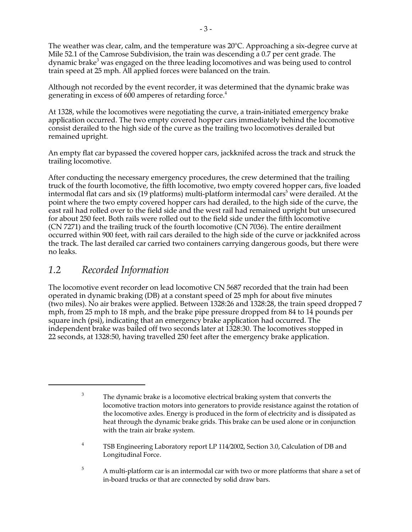The weather was clear, calm, and the temperature was 20°C. Approaching a six-degree curve at Mile 52.1 of the Camrose Subdivision, the train was descending a 0.7 per cent grade. The dynamic brake $^3$  was engaged on the three leading locomotives and was being used to control train speed at 25 mph. All applied forces were balanced on the train.

Although not recorded by the event recorder, it was determined that the dynamic brake was generating in excess of 600 amperes of retarding force.<sup>4</sup>

At 1328, while the locomotives were negotiating the curve, a train-initiated emergency brake application occurred. The two empty covered hopper cars immediately behind the locomotive consist derailed to the high side of the curve as the trailing two locomotives derailed but remained upright.

An empty flat car bypassed the covered hopper cars, jackknifed across the track and struck the trailing locomotive.

After conducting the necessary emergency procedures, the crew determined that the trailing truck of the fourth locomotive, the fifth locomotive, two empty covered hopper cars, five loaded intermodal flat cars and six (19 platforms) multi-platform intermodal cars $^5$  were derailed. At the point where the two empty covered hopper cars had derailed, to the high side of the curve, the east rail had rolled over to the field side and the west rail had remained upright but unsecured for about 250 feet. Both rails were rolled out to the field side under the fifth locomotive (CN 7271) and the trailing truck of the fourth locomotive (CN 7036). The entire derailment occurred within 900 feet, with rail cars derailed to the high side of the curve or jackknifed across the track. The last derailed car carried two containers carrying dangerous goods, but there were no leaks.

#### *1.2 Recorded Information*

The locomotive event recorder on lead locomotive CN 5687 recorded that the train had been operated in dynamic braking (DB) at a constant speed of 25 mph for about five minutes (two miles). No air brakes were applied. Between 1328:26 and 1328:28, the train speed dropped 7 mph, from 25 mph to 18 mph, and the brake pipe pressure dropped from 84 to 14 pounds per square inch (psi), indicating that an emergency brake application had occurred. The independent brake was bailed off two seconds later at 1328:30. The locomotives stopped in 22 seconds, at 1328:50, having travelled 250 feet after the emergency brake application.

- <sup>4</sup> TSB Engineering Laboratory report LP 114/2002, Section 3.0, Calculation of DB and Longitudinal Force.
- <sup>5</sup> A multi-platform car is an intermodal car with two or more platforms that share a set of in-board trucks or that are connected by solid draw bars.

 $3$  The dynamic brake is a locomotive electrical braking system that converts the locomotive traction motors into generators to provide resistance against the rotation of the locomotive axles. Energy is produced in the form of electricity and is dissipated as heat through the dynamic brake grids. This brake can be used alone or in conjunction with the train air brake system.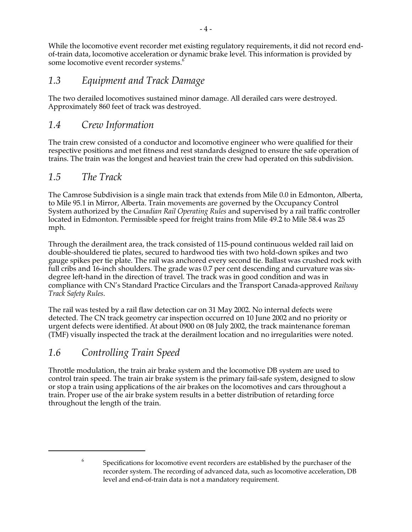While the locomotive event recorder met existing regulatory requirements, it did not record endof-train data, locomotive acceleration or dynamic brake level. This information is provided by some locomotive event recorder systems.<sup>6</sup>

### *1.3 Equipment and Track Damage*

The two derailed locomotives sustained minor damage. All derailed cars were destroyed. Approximately 860 feet of track was destroyed.

#### *1.4 Crew Information*

The train crew consisted of a conductor and locomotive engineer who were qualified for their respective positions and met fitness and rest standards designed to ensure the safe operation of trains. The train was the longest and heaviest train the crew had operated on this subdivision.

#### *1.5 The Track*

The Camrose Subdivision is a single main track that extends from Mile 0.0 in Edmonton, Alberta, to Mile 95.1 in Mirror, Alberta. Train movements are governed by the Occupancy Control System authorized by the *Canadian Rail Operating Rules* and supervised by a rail traffic controller located in Edmonton. Permissible speed for freight trains from Mile 49.2 to Mile 58.4 was 25 mph.

Through the derailment area, the track consisted of 115-pound continuous welded rail laid on double-shouldered tie plates, secured to hardwood ties with two hold-down spikes and two gauge spikes per tie plate. The rail was anchored every second tie. Ballast was crushed rock with full cribs and 16-inch shoulders. The grade was 0.7 per cent descending and curvature was sixdegree left-hand in the direction of travel. The track was in good condition and was in compliance with CN's Standard Practice Circulars and the Transport Canada-approved *Railway Track Safety Rules*.

The rail was tested by a rail flaw detection car on 31 May 2002. No internal defects were detected. The CN track geometry car inspection occurred on 10 June 2002 and no priority or urgent defects were identified. At about 0900 on 08 July 2002, the track maintenance foreman (TMF) visually inspected the track at the derailment location and no irregularities were noted.

#### *1.6 Controlling Train Speed*

Throttle modulation, the train air brake system and the locomotive DB system are used to control train speed. The train air brake system is the primary fail-safe system, designed to slow or stop a train using applications of the air brakes on the locomotives and cars throughout a train. Proper use of the air brake system results in a better distribution of retarding force throughout the length of the train.

<sup>&</sup>lt;sup>6</sup> Specifications for locomotive event recorders are established by the purchaser of the recorder system. The recording of advanced data, such as locomotive acceleration, DB level and end-of-train data is not a mandatory requirement.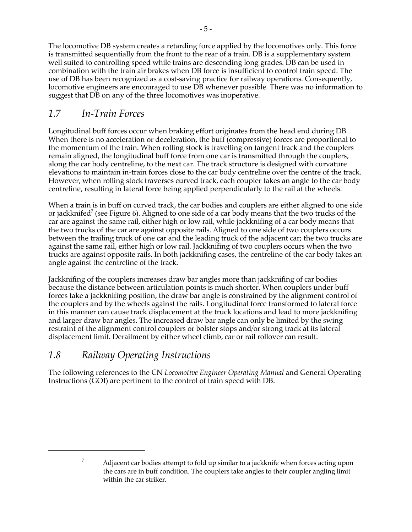The locomotive DB system creates a retarding force applied by the locomotives only. This force is transmitted sequentially from the front to the rear of a train. DB is a supplementary system well suited to controlling speed while trains are descending long grades. DB can be used in combination with the train air brakes when DB force is insufficient to control train speed. The use of DB has been recognized as a cost-saving practice for railway operations. Consequently, locomotive engineers are encouraged to use DB whenever possible. There was no information to suggest that DB on any of the three locomotives was inoperative.

## *1.7 In-Train Forces*

Longitudinal buff forces occur when braking effort originates from the head end during DB. When there is no acceleration or deceleration, the buff (compressive) forces are proportional to the momentum of the train. When rolling stock is travelling on tangent track and the couplers remain aligned, the longitudinal buff force from one car is transmitted through the couplers, along the car body centreline, to the next car. The track structure is designed with curvature elevations to maintain in-train forces close to the car body centreline over the centre of the track. However, when rolling stock traverses curved track, each coupler takes an angle to the car body centreline, resulting in lateral force being applied perpendicularly to the rail at the wheels.

When a train is in buff on curved track, the car bodies and couplers are either aligned to one side or jackknifed<sup>7</sup> (see Figure 6). Aligned to one side of a car body means that the two trucks of the car are against the same rail, either high or low rail, while jackknifing of a car body means that the two trucks of the car are against opposite rails. Aligned to one side of two couplers occurs between the trailing truck of one car and the leading truck of the adjacent car; the two trucks are against the same rail, either high or low rail. Jackknifing of two couplers occurs when the two trucks are against opposite rails. In both jackknifing cases, the centreline of the car body takes an angle against the centreline of the track.

Jackknifing of the couplers increases draw bar angles more than jackknifing of car bodies because the distance between articulation points is much shorter. When couplers under buff forces take a jackknifing position, the draw bar angle is constrained by the alignment control of the couplers and by the wheels against the rails. Longitudinal force transformed to lateral force in this manner can cause track displacement at the truck locations and lead to more jackknifing and larger draw bar angles. The increased draw bar angle can only be limited by the swing restraint of the alignment control couplers or bolster stops and/or strong track at its lateral displacement limit. Derailment by either wheel climb, car or rail rollover can result.

#### *1.8 Railway Operating Instructions*

The following references to the CN *Locomotive Engineer Operating Manual* and General Operating Instructions (GOI) are pertinent to the control of train speed with DB.

 $7$  Adjacent car bodies attempt to fold up similar to a jackknife when forces acting upon the cars are in buff condition. The couplers take angles to their coupler angling limit within the car striker.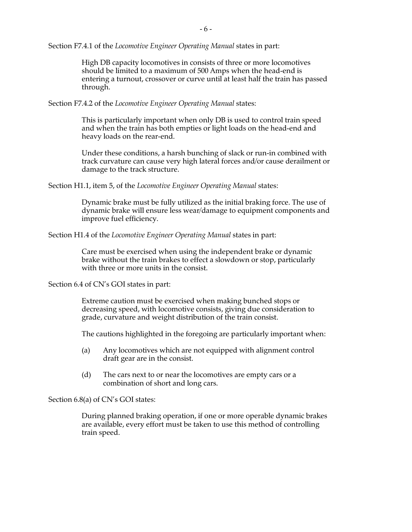Section F7.4.1 of the *Locomotive Engineer Operating Manual* states in part:

High DB capacity locomotives in consists of three or more locomotives should be limited to a maximum of 500 Amps when the head-end is entering a turnout, crossover or curve until at least half the train has passed through.

Section F7.4.2 of the *Locomotive Engineer Operating Manual* states:

This is particularly important when only DB is used to control train speed and when the train has both empties or light loads on the head-end and heavy loads on the rear-end.

Under these conditions, a harsh bunching of slack or run-in combined with track curvature can cause very high lateral forces and/or cause derailment or damage to the track structure.

Section H1.1, item 5, of the *Locomotive Engineer Operating Manual* states:

Dynamic brake must be fully utilized as the initial braking force. The use of dynamic brake will ensure less wear/damage to equipment components and improve fuel efficiency.

Section H1.4 of the *Locomotive Engineer Operating Manual* states in part:

Care must be exercised when using the independent brake or dynamic brake without the train brakes to effect a slowdown or stop, particularly with three or more units in the consist.

Section 6.4 of CN's GOI states in part:

Extreme caution must be exercised when making bunched stops or decreasing speed, with locomotive consists, giving due consideration to grade, curvature and weight distribution of the train consist.

The cautions highlighted in the foregoing are particularly important when:

- (a) Any locomotives which are not equipped with alignment control draft gear are in the consist.
- (d) The cars next to or near the locomotives are empty cars or a combination of short and long cars.

Section 6.8(a) of CN's GOI states:

During planned braking operation, if one or more operable dynamic brakes are available, every effort must be taken to use this method of controlling train speed.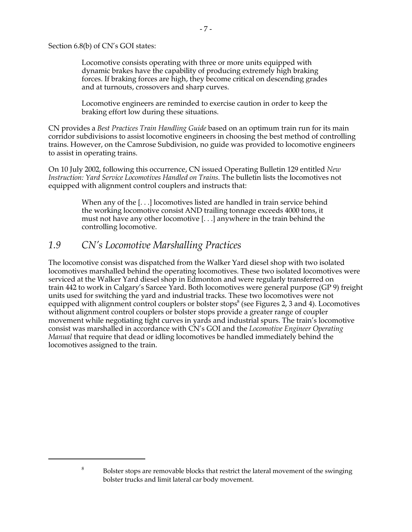Section 6.8(b) of CN's GOI states:

Locomotive consists operating with three or more units equipped with dynamic brakes have the capability of producing extremely high braking forces. If braking forces are high, they become critical on descending grades and at turnouts, crossovers and sharp curves.

Locomotive engineers are reminded to exercise caution in order to keep the braking effort low during these situations.

CN provides a *Best Practices Train Handling Guide* based on an optimum train run for its main corridor subdivisions to assist locomotive engineers in choosing the best method of controlling trains. However, on the Camrose Subdivision, no guide was provided to locomotive engineers to assist in operating trains.

On 10 July 2002, following this occurrence, CN issued Operating Bulletin 129 entitled *New Instruction: Yard Service Locomotives Handled on Trains*. The bulletin lists the locomotives not equipped with alignment control couplers and instructs that:

> When any of the [...] locomotives listed are handled in train service behind the working locomotive consist AND trailing tonnage exceeds 4000 tons, it must not have any other locomotive [. . .] anywhere in the train behind the controlling locomotive.

#### *1.9 CN's Locomotive Marshalling Practices*

The locomotive consist was dispatched from the Walker Yard diesel shop with two isolated locomotives marshalled behind the operating locomotives. These two isolated locomotives were serviced at the Walker Yard diesel shop in Edmonton and were regularly transferred on train 442 to work in Calgary's Sarcee Yard. Both locomotives were general purpose (GP 9) freight units used for switching the yard and industrial tracks. These two locomotives were not equipped with alignment control couplers or bolster stops $^8$  (see Figures 2, 3 and 4). Locomotives without alignment control couplers or bolster stops provide a greater range of coupler movement while negotiating tight curves in yards and industrial spurs. The train's locomotive consist was marshalled in accordance with CN's GOI and the *Locomotive Engineer Operating Manual* that require that dead or idling locomotives be handled immediately behind the locomotives assigned to the train.

<sup>&</sup>lt;sup>8</sup> Bolster stops are removable blocks that restrict the lateral movement of the swinging bolster trucks and limit lateral car body movement.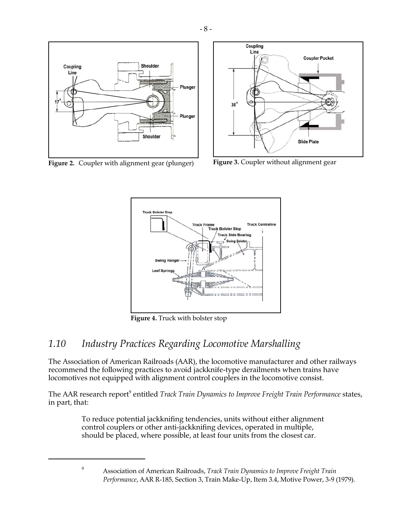

**Figure 2.** Coupler with alignment gear (plunger) **Figure 3.** Coupler without alignment gear





**Figure 4.** Truck with bolster stop

## *1.10 Industry Practices Regarding Locomotive Marshalling*

The Association of American Railroads (AAR), the locomotive manufacturer and other railways recommend the following practices to avoid jackknife-type derailments when trains have locomotives not equipped with alignment control couplers in the locomotive consist.

The AAR research report<sup>9</sup> entitled *Track Train Dynamics to Improve Freight Train Performance states,* in part, that:

> To reduce potential jackknifing tendencies, units without either alignment control couplers or other anti-jackknifing devices, operated in multiple, should be placed, where possible, at least four units from the closest car.

<sup>9</sup> Association of American Railroads, *Track Train Dynamics to Improve Freight Train Performance*, AAR R-185, Section 3, Train Make-Up, Item 3.4, Motive Power, 3-9 (1979).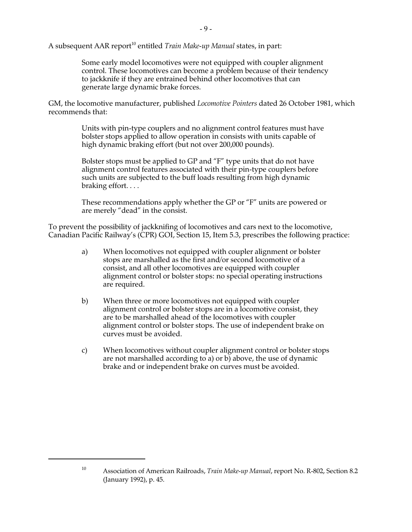A subsequent AAR report<sup>10</sup> entitled *Train Make-up Manual* states, in part:

Some early model locomotives were not equipped with coupler alignment control. These locomotives can become a problem because of their tendency to jackknife if they are entrained behind other locomotives that can generate large dynamic brake forces.

GM, the locomotive manufacturer, published *Locomotive Pointers* dated 26 October 1981, which recommends that:

> Units with pin-type couplers and no alignment control features must have bolster stops applied to allow operation in consists with units capable of high dynamic braking effort (but not over 200,000 pounds).

Bolster stops must be applied to GP and "F" type units that do not have alignment control features associated with their pin-type couplers before such units are subjected to the buff loads resulting from high dynamic braking effort. . . .

These recommendations apply whether the GP or "F" units are powered or are merely "dead" in the consist.

To prevent the possibility of jackknifing of locomotives and cars next to the locomotive, Canadian Pacific Railway's (CPR) GOI, Section 15, Item 5.3, prescribes the following practice:

- a) When locomotives not equipped with coupler alignment or bolster stops are marshalled as the first and/or second locomotive of a consist, and all other locomotives are equipped with coupler alignment control or bolster stops: no special operating instructions are required.
- b) When three or more locomotives not equipped with coupler alignment control or bolster stops are in a locomotive consist, they are to be marshalled ahead of the locomotives with coupler alignment control or bolster stops. The use of independent brake on curves must be avoided.
- c) When locomotives without coupler alignment control or bolster stops are not marshalled according to a) or b) above, the use of dynamic brake and or independent brake on curves must be avoided.

<sup>10</sup> Association of American Railroads, *Train Make-up Manual*, report No. R-802, Section 8.2 (January 1992), p. 45.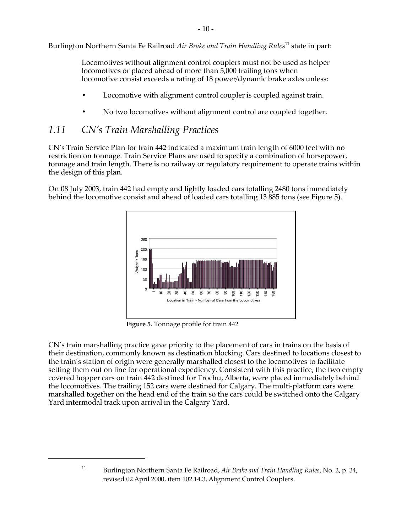Burlington Northern Santa Fe Railroad *Air Brake and Train Handling Rules*11 state in part:

Locomotives without alignment control couplers must not be used as helper locomotives or placed ahead of more than 5,000 trailing tons when locomotive consist exceeds a rating of 18 power/dynamic brake axles unless:

- Locomotive with alignment control coupler is coupled against train.
- No two locomotives without alignment control are coupled together.

#### *1.11 CN's Train Marshalling Practices*

CN's Train Service Plan for train 442 indicated a maximum train length of 6000 feet with no restriction on tonnage. Train Service Plans are used to specify a combination of horsepower, tonnage and train length. There is no railway or regulatory requirement to operate trains within the design of this plan.

On 08 July 2003, train 442 had empty and lightly loaded cars totalling 2480 tons immediately behind the locomotive consist and ahead of loaded cars totalling 13 885 tons (see Figure 5).



**Figure 5.** Tonnage profile for train 442

CN's train marshalling practice gave priority to the placement of cars in trains on the basis of their destination, commonly known as destination blocking. Cars destined to locations closest to the train's station of origin were generally marshalled closest to the locomotives to facilitate setting them out on line for operational expediency. Consistent with this practice, the two empty covered hopper cars on train 442 destined for Trochu, Alberta, were placed immediately behind the locomotives. The trailing 152 cars were destined for Calgary. The multi-platform cars were marshalled together on the head end of the train so the cars could be switched onto the Calgary Yard intermodal track upon arrival in the Calgary Yard.

<sup>11</sup> Burlington Northern Santa Fe Railroad, *Air Brake and Train Handling Rules*, No. 2, p. 34, revised 02 April 2000, item 102.14.3, Alignment Control Couplers.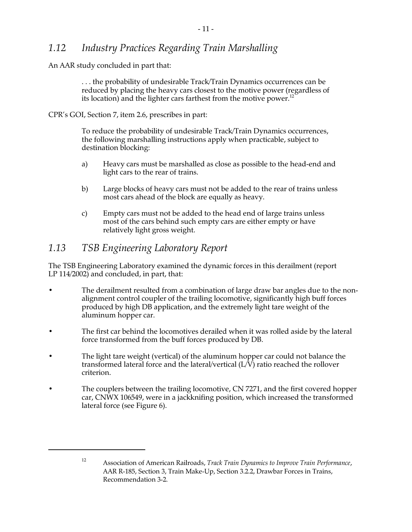### *1.12 Industry Practices Regarding Train Marshalling*

An AAR study concluded in part that:

. . . the probability of undesirable Track/Train Dynamics occurrences can be reduced by placing the heavy cars closest to the motive power (regardless of its location) and the lighter cars farthest from the motive power.<sup>12</sup>

CPR's GOI, Section 7, item 2.6, prescribes in part:

To reduce the probability of undesirable Track/Train Dynamics occurrences, the following marshalling instructions apply when practicable, subject to destination blocking:

- a) Heavy cars must be marshalled as close as possible to the head-end and light cars to the rear of trains.
- b) Large blocks of heavy cars must not be added to the rear of trains unless most cars ahead of the block are equally as heavy.
- c) Empty cars must not be added to the head end of large trains unless most of the cars behind such empty cars are either empty or have relatively light gross weight.

### *1.13 TSB Engineering Laboratory Report*

The TSB Engineering Laboratory examined the dynamic forces in this derailment (report LP 114/2002) and concluded, in part, that:

- The derailment resulted from a combination of large draw bar angles due to the nonalignment control coupler of the trailing locomotive, significantly high buff forces produced by high DB application, and the extremely light tare weight of the aluminum hopper car.
- The first car behind the locomotives derailed when it was rolled aside by the lateral force transformed from the buff forces produced by DB.
- The light tare weight (vertical) of the aluminum hopper car could not balance the transformed lateral force and the lateral/vertical (L/V) ratio reached the rollover criterion.
- The couplers between the trailing locomotive, CN 7271, and the first covered hopper car, CNWX 106549, were in a jackknifing position, which increased the transformed lateral force (see Figure 6).

<sup>12</sup> Association of American Railroads, *Track Train Dynamics to Improve Train Performance*, AAR R-185, Section 3, Train Make-Up, Section 3.2.2, Drawbar Forces in Trains, Recommendation 3-2.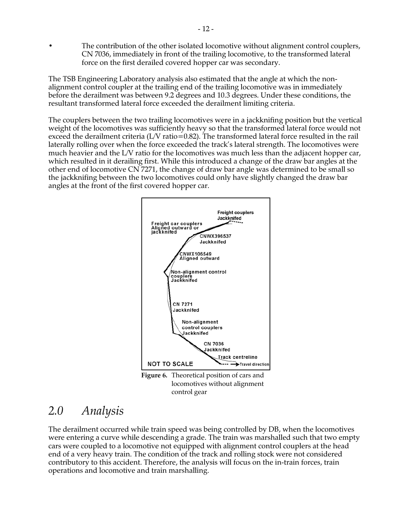• The contribution of the other isolated locomotive without alignment control couplers, CN 7036, immediately in front of the trailing locomotive, to the transformed lateral force on the first derailed covered hopper car was secondary.

The TSB Engineering Laboratory analysis also estimated that the angle at which the nonalignment control coupler at the trailing end of the trailing locomotive was in immediately before the derailment was between 9.2 degrees and 10.3 degrees. Under these conditions, the resultant transformed lateral force exceeded the derailment limiting criteria.

The couplers between the two trailing locomotives were in a jackknifing position but the vertical weight of the locomotives was sufficiently heavy so that the transformed lateral force would not exceed the derailment criteria (L/V ratio=0.82). The transformed lateral force resulted in the rail laterally rolling over when the force exceeded the track's lateral strength. The locomotives were much heavier and the L/V ratio for the locomotives was much less than the adjacent hopper car, which resulted in it derailing first. While this introduced a change of the draw bar angles at the other end of locomotive CN 7271, the change of draw bar angle was determined to be small so the jackknifing between the two locomotives could only have slightly changed the draw bar angles at the front of the first covered hopper car.



locomotives without alignment control gear

# *2.0 Analysis*

The derailment occurred while train speed was being controlled by DB, when the locomotives were entering a curve while descending a grade. The train was marshalled such that two empty cars were coupled to a locomotive not equipped with alignment control couplers at the head end of a very heavy train. The condition of the track and rolling stock were not considered contributory to this accident. Therefore, the analysis will focus on the in-train forces, train operations and locomotive and train marshalling.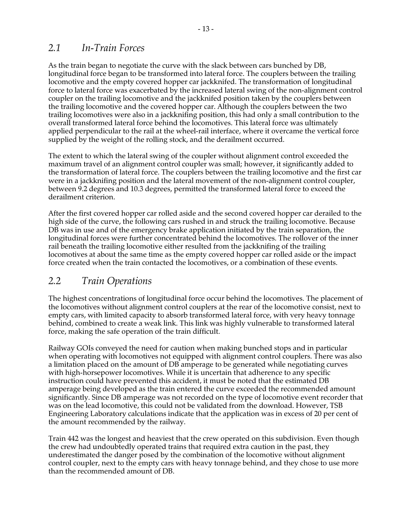#### *2.1 In-Train Forces*

As the train began to negotiate the curve with the slack between cars bunched by DB, longitudinal force began to be transformed into lateral force. The couplers between the trailing locomotive and the empty covered hopper car jackknifed. The transformation of longitudinal force to lateral force was exacerbated by the increased lateral swing of the non-alignment control coupler on the trailing locomotive and the jackknifed position taken by the couplers between the trailing locomotive and the covered hopper car. Although the couplers between the two trailing locomotives were also in a jackknifing position, this had only a small contribution to the overall transformed lateral force behind the locomotives. This lateral force was ultimately applied perpendicular to the rail at the wheel-rail interface, where it overcame the vertical force supplied by the weight of the rolling stock, and the derailment occurred.

The extent to which the lateral swing of the coupler without alignment control exceeded the maximum travel of an alignment control coupler was small; however, it significantly added to the transformation of lateral force. The couplers between the trailing locomotive and the first car were in a jackknifing position and the lateral movement of the non-alignment control coupler, between 9.2 degrees and 10.3 degrees, permitted the transformed lateral force to exceed the derailment criterion.

After the first covered hopper car rolled aside and the second covered hopper car derailed to the high side of the curve, the following cars rushed in and struck the trailing locomotive. Because DB was in use and of the emergency brake application initiated by the train separation, the longitudinal forces were further concentrated behind the locomotives. The rollover of the inner rail beneath the trailing locomotive either resulted from the jackknifing of the trailing locomotives at about the same time as the empty covered hopper car rolled aside or the impact force created when the train contacted the locomotives, or a combination of these events.

### *2.2 Train Operations*

The highest concentrations of longitudinal force occur behind the locomotives. The placement of the locomotives without alignment control couplers at the rear of the locomotive consist, next to empty cars, with limited capacity to absorb transformed lateral force, with very heavy tonnage behind, combined to create a weak link. This link was highly vulnerable to transformed lateral force, making the safe operation of the train difficult.

Railway GOIs conveyed the need for caution when making bunched stops and in particular when operating with locomotives not equipped with alignment control couplers. There was also a limitation placed on the amount of DB amperage to be generated while negotiating curves with high-horsepower locomotives. While it is uncertain that adherence to any specific instruction could have prevented this accident, it must be noted that the estimated DB amperage being developed as the train entered the curve exceeded the recommended amount significantly. Since DB amperage was not recorded on the type of locomotive event recorder that was on the lead locomotive, this could not be validated from the download. However, TSB Engineering Laboratory calculations indicate that the application was in excess of 20 per cent of the amount recommended by the railway.

Train 442 was the longest and heaviest that the crew operated on this subdivision. Even though the crew had undoubtedly operated trains that required extra caution in the past, they underestimated the danger posed by the combination of the locomotive without alignment control coupler, next to the empty cars with heavy tonnage behind, and they chose to use more than the recommended amount of DB.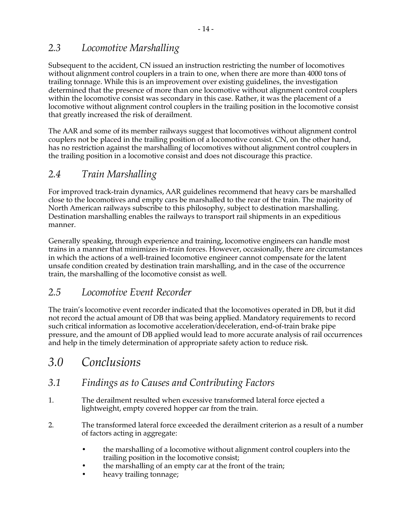## *2.3 Locomotive Marshalling*

Subsequent to the accident, CN issued an instruction restricting the number of locomotives without alignment control couplers in a train to one, when there are more than 4000 tons of trailing tonnage. While this is an improvement over existing guidelines, the investigation determined that the presence of more than one locomotive without alignment control couplers within the locomotive consist was secondary in this case. Rather, it was the placement of a locomotive without alignment control couplers in the trailing position in the locomotive consist that greatly increased the risk of derailment.

The AAR and some of its member railways suggest that locomotives without alignment control couplers not be placed in the trailing position of a locomotive consist. CN, on the other hand, has no restriction against the marshalling of locomotives without alignment control couplers in the trailing position in a locomotive consist and does not discourage this practice.

### *2.4 Train Marshalling*

For improved track-train dynamics, AAR guidelines recommend that heavy cars be marshalled close to the locomotives and empty cars be marshalled to the rear of the train. The majority of North American railways subscribe to this philosophy, subject to destination marshalling. Destination marshalling enables the railways to transport rail shipments in an expeditious manner.

Generally speaking, through experience and training, locomotive engineers can handle most trains in a manner that minimizes in-train forces. However, occasionally, there are circumstances in which the actions of a well-trained locomotive engineer cannot compensate for the latent unsafe condition created by destination train marshalling, and in the case of the occurrence train, the marshalling of the locomotive consist as well.

## *2.5 Locomotive Event Recorder*

The train's locomotive event recorder indicated that the locomotives operated in DB, but it did not record the actual amount of DB that was being applied. Mandatory requirements to record such critical information as locomotive acceleration/deceleration, end-of-train brake pipe pressure, and the amount of DB applied would lead to more accurate analysis of rail occurrences and help in the timely determination of appropriate safety action to reduce risk.

# *3.0 Conclusions*

### *3.1 Findings as to Causes and Contributing Factors*

- 1. The derailment resulted when excessive transformed lateral force ejected a lightweight, empty covered hopper car from the train.
- 2. The transformed lateral force exceeded the derailment criterion as a result of a number of factors acting in aggregate:
	- the marshalling of a locomotive without alignment control couplers into the trailing position in the locomotive consist;
	- the marshalling of an empty car at the front of the train;
	- heavy trailing tonnage;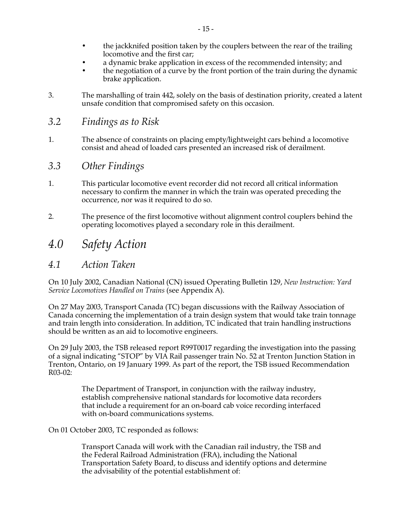- the jackknifed position taken by the couplers between the rear of the trailing locomotive and the first car;
- a dynamic brake application in excess of the recommended intensity; and
- the negotiation of a curve by the front portion of the train during the dynamic brake application.
- 3. The marshalling of train 442, solely on the basis of destination priority, created a latent unsafe condition that compromised safety on this occasion.
- *3.2 Findings as to Risk*
- 1. The absence of constraints on placing empty/lightweight cars behind a locomotive consist and ahead of loaded cars presented an increased risk of derailment.
- *3.3 Other Findings*
- 1. This particular locomotive event recorder did not record all critical information necessary to confirm the manner in which the train was operated preceding the occurrence, nor was it required to do so.
- 2. The presence of the first locomotive without alignment control couplers behind the operating locomotives played a secondary role in this derailment.
- *4.0 Safety Action*
- *4.1 Action Taken*

On 10 July 2002, Canadian National (CN) issued Operating Bulletin 129, *New Instruction: Yard Service Locomotives Handled on Trains* (see Appendix A).

On 27 May 2003, Transport Canada (TC) began discussions with the Railway Association of Canada concerning the implementation of a train design system that would take train tonnage and train length into consideration. In addition, TC indicated that train handling instructions should be written as an aid to locomotive engineers.

On 29 July 2003, the TSB released report R99T0017 regarding the investigation into the passing of a signal indicating "STOP" by VIA Rail passenger train No. 52 at Trenton Junction Station in Trenton, Ontario, on 19 January 1999. As part of the report, the TSB issued Recommendation R03-02:

> The Department of Transport, in conjunction with the railway industry, establish comprehensive national standards for locomotive data recorders that include a requirement for an on-board cab voice recording interfaced with on-board communications systems.

On 01 October 2003, TC responded as follows:

Transport Canada will work with the Canadian rail industry, the TSB and the Federal Railroad Administration (FRA), including the National Transportation Safety Board, to discuss and identify options and determine the advisability of the potential establishment of: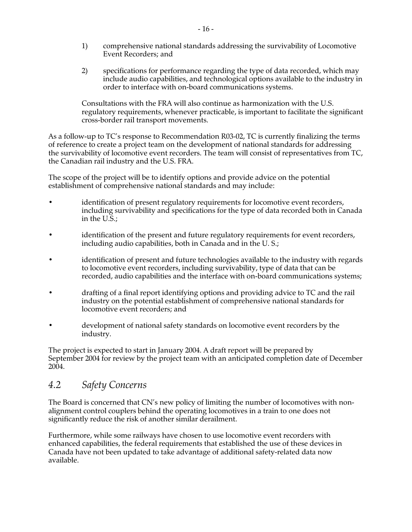- 1) comprehensive national standards addressing the survivability of Locomotive Event Recorders; and
- 2) specifications for performance regarding the type of data recorded, which may include audio capabilities, and technological options available to the industry in order to interface with on-board communications systems.

Consultations with the FRA will also continue as harmonization with the U.S. regulatory requirements, whenever practicable, is important to facilitate the significant cross-border rail transport movements.

As a follow-up to TC's response to Recommendation R03-02, TC is currently finalizing the terms of reference to create a project team on the development of national standards for addressing the survivability of locomotive event recorders. The team will consist of representatives from TC, the Canadian rail industry and the U.S. FRA.

The scope of the project will be to identify options and provide advice on the potential establishment of comprehensive national standards and may include:

- identification of present regulatory requirements for locomotive event recorders, including survivability and specifications for the type of data recorded both in Canada in the U.S.;
- identification of the present and future regulatory requirements for event recorders, including audio capabilities, both in Canada and in the U. S.;
- identification of present and future technologies available to the industry with regards to locomotive event recorders, including survivability, type of data that can be recorded, audio capabilities and the interface with on-board communications systems;
- drafting of a final report identifying options and providing advice to TC and the rail industry on the potential establishment of comprehensive national standards for locomotive event recorders; and
- development of national safety standards on locomotive event recorders by the industry.

The project is expected to start in January 2004. A draft report will be prepared by September 2004 for review by the project team with an anticipated completion date of December 2004.

#### *4.2 Safety Concerns*

The Board is concerned that CN's new policy of limiting the number of locomotives with nonalignment control couplers behind the operating locomotives in a train to one does not significantly reduce the risk of another similar derailment.

Furthermore, while some railways have chosen to use locomotive event recorders with enhanced capabilities, the federal requirements that established the use of these devices in Canada have not been updated to take advantage of additional safety-related data now available.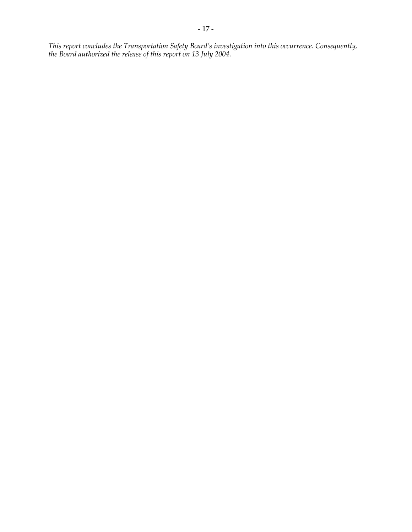*This report concludes the Transportation Safety Board's investigation into this occurrence. Consequently, the Board authorized the release of this report on 13 July 2004.*